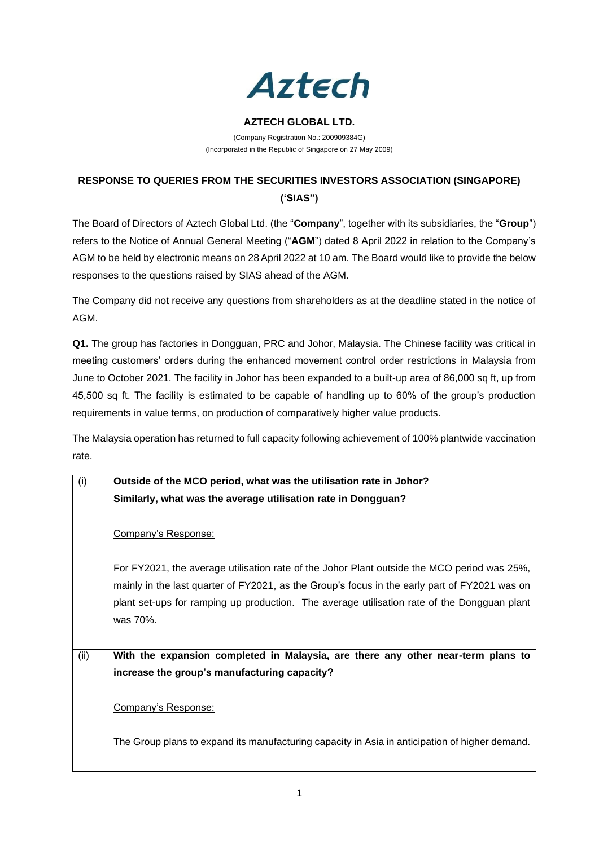

## **AZTECH GLOBAL LTD.**

(Company Registration No.: 200909384G) (Incorporated in the Republic of Singapore on 27 May 2009)

## **RESPONSE TO QUERIES FROM THE SECURITIES INVESTORS ASSOCIATION (SINGAPORE) ('SIAS")**

The Board of Directors of Aztech Global Ltd. (the "**Company**", together with its subsidiaries, the "**Group**") refers to the Notice of Annual General Meeting ("**AGM**") dated 8 April 2022 in relation to the Company's AGM to be held by electronic means on 28 April 2022 at 10 am. The Board would like to provide the below responses to the questions raised by SIAS ahead of the AGM.

The Company did not receive any questions from shareholders as at the deadline stated in the notice of AGM.

**Q1.** The group has factories in Dongguan, PRC and Johor, Malaysia. The Chinese facility was critical in meeting customers' orders during the enhanced movement control order restrictions in Malaysia from June to October 2021. The facility in Johor has been expanded to a built-up area of 86,000 sq ft, up from 45,500 sq ft. The facility is estimated to be capable of handling up to 60% of the group's production requirements in value terms, on production of comparatively higher value products.

The Malaysia operation has returned to full capacity following achievement of 100% plantwide vaccination rate.

| (i)  | Outside of the MCO period, what was the utilisation rate in Johor?                             |
|------|------------------------------------------------------------------------------------------------|
|      | Similarly, what was the average utilisation rate in Dongguan?                                  |
|      | Company's Response:                                                                            |
|      | For FY2021, the average utilisation rate of the Johor Plant outside the MCO period was 25%,    |
|      | mainly in the last quarter of FY2021, as the Group's focus in the early part of FY2021 was on  |
|      | plant set-ups for ramping up production. The average utilisation rate of the Dongguan plant    |
|      | was 70%.                                                                                       |
|      |                                                                                                |
| (ii) | With the expansion completed in Malaysia, are there any other near-term plans to               |
|      | increase the group's manufacturing capacity?                                                   |
|      | Company's Response:                                                                            |
|      | The Group plans to expand its manufacturing capacity in Asia in anticipation of higher demand. |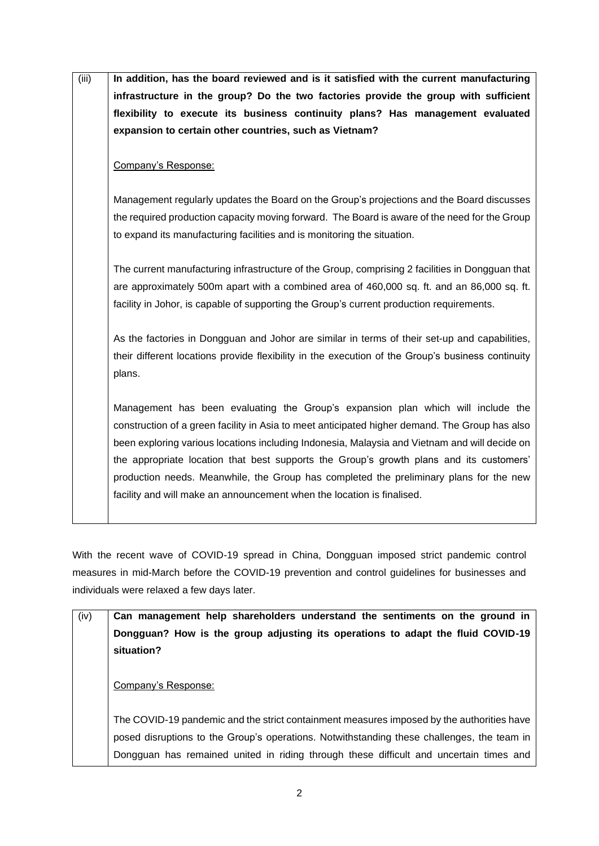| (iii) | In addition, has the board reviewed and is it satisfied with the current manufacturing            |
|-------|---------------------------------------------------------------------------------------------------|
|       | infrastructure in the group? Do the two factories provide the group with sufficient               |
|       | flexibility to execute its business continuity plans? Has management evaluated                    |
|       | expansion to certain other countries, such as Vietnam?                                            |
|       |                                                                                                   |
|       | Company's Response:                                                                               |
|       |                                                                                                   |
|       | Management regularly updates the Board on the Group's projections and the Board discusses         |
|       | the required production capacity moving forward. The Board is aware of the need for the Group     |
|       | to expand its manufacturing facilities and is monitoring the situation.                           |
|       |                                                                                                   |
|       | The current manufacturing infrastructure of the Group, comprising 2 facilities in Dongguan that   |
|       | are approximately 500m apart with a combined area of 460,000 sq. ft. and an 86,000 sq. ft.        |
|       | facility in Johor, is capable of supporting the Group's current production requirements.          |
|       |                                                                                                   |
|       | As the factories in Dongguan and Johor are similar in terms of their set-up and capabilities,     |
|       | their different locations provide flexibility in the execution of the Group's business continuity |
|       | plans.                                                                                            |
|       | Management has been evaluating the Group's expansion plan which will include the                  |
|       | construction of a green facility in Asia to meet anticipated higher demand. The Group has also    |
|       | been exploring various locations including Indonesia, Malaysia and Vietnam and will decide on     |
|       | the appropriate location that best supports the Group's growth plans and its customers'           |
|       | production needs. Meanwhile, the Group has completed the preliminary plans for the new            |
|       | facility and will make an announcement when the location is finalised.                            |
|       |                                                                                                   |
|       |                                                                                                   |

With the recent wave of COVID-19 spread in China, Dongguan imposed strict pandemic control measures in mid-March before the COVID-19 prevention and control guidelines for businesses and individuals were relaxed a few days later.

| (iv) | Can management help shareholders understand the sentiments on the ground in                   |
|------|-----------------------------------------------------------------------------------------------|
|      | Dongguan? How is the group adjusting its operations to adapt the fluid COVID-19<br>situation? |
|      | Company's Response:                                                                           |
|      | The COVID-19 pandemic and the strict containment measures imposed by the authorities have     |
|      | posed disruptions to the Group's operations. Notwithstanding these challenges, the team in    |
|      | Dongguan has remained united in riding through these difficult and uncertain times and        |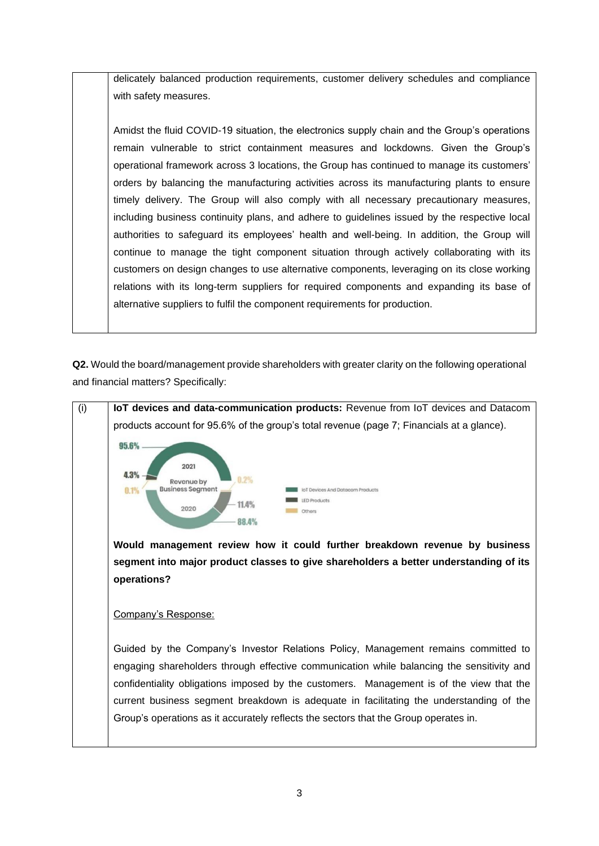delicately balanced production requirements, customer delivery schedules and compliance with safety measures.

Amidst the fluid COVID-19 situation, the electronics supply chain and the Group's operations remain vulnerable to strict containment measures and lockdowns. Given the Group's operational framework across 3 locations, the Group has continued to manage its customers' orders by balancing the manufacturing activities across its manufacturing plants to ensure timely delivery. The Group will also comply with all necessary precautionary measures, including business continuity plans, and adhere to guidelines issued by the respective local authorities to safeguard its employees' health and well-being. In addition, the Group will continue to manage the tight component situation through actively collaborating with its customers on design changes to use alternative components, leveraging on its close working relations with its long-term suppliers for required components and expanding its base of alternative suppliers to fulfil the component requirements for production.

**Q2.** Would the board/management provide shareholders with greater clarity on the following operational and financial matters? Specifically:

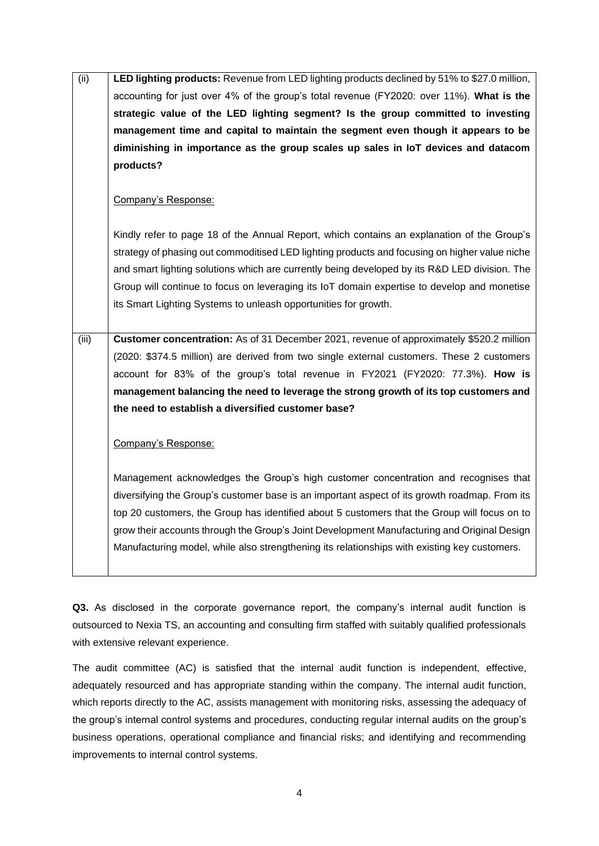| (iii) | LED lighting products: Revenue from LED lighting products declined by 51% to \$27.0 million,  |
|-------|-----------------------------------------------------------------------------------------------|
|       | accounting for just over 4% of the group's total revenue (FY2020: over 11%). What is the      |
|       | strategic value of the LED lighting segment? Is the group committed to investing              |
|       | management time and capital to maintain the segment even though it appears to be              |
|       | diminishing in importance as the group scales up sales in IoT devices and datacom             |
|       | products?                                                                                     |
|       |                                                                                               |
|       | Company's Response:                                                                           |
|       |                                                                                               |
|       | Kindly refer to page 18 of the Annual Report, which contains an explanation of the Group's    |
|       | strategy of phasing out commoditised LED lighting products and focusing on higher value niche |
|       | and smart lighting solutions which are currently being developed by its R&D LED division. The |
|       | Group will continue to focus on leveraging its IoT domain expertise to develop and monetise   |
|       | its Smart Lighting Systems to unleash opportunities for growth.                               |
|       |                                                                                               |
|       |                                                                                               |
| (iii) | Customer concentration: As of 31 December 2021, revenue of approximately \$520.2 million      |
|       | (2020: \$374.5 million) are derived from two single external customers. These 2 customers     |
|       | account for 83% of the group's total revenue in FY2021 (FY2020: 77.3%). How is                |
|       | management balancing the need to leverage the strong growth of its top customers and          |
|       | the need to establish a diversified customer base?                                            |
|       |                                                                                               |
|       | Company's Response:                                                                           |
|       |                                                                                               |
|       | Management acknowledges the Group's high customer concentration and recognises that           |
|       | diversifying the Group's customer base is an important aspect of its growth roadmap. From its |
|       | top 20 customers, the Group has identified about 5 customers that the Group will focus on to  |
|       | grow their accounts through the Group's Joint Development Manufacturing and Original Design   |
|       | Manufacturing model, while also strengthening its relationships with existing key customers.  |

Q3. As disclosed in the corporate governance report, the company's internal audit function is outsourced to Nexia TS, an accounting and consulting firm staffed with suitably qualified professionals with extensive relevant experience.

The audit committee (AC) is satisfied that the internal audit function is independent, effective, adequately resourced and has appropriate standing within the company. The internal audit function, which reports directly to the AC, assists management with monitoring risks, assessing the adequacy of the group's internal control systems and procedures, conducting regular internal audits on the group's business operations, operational compliance and financial risks; and identifying and recommending improvements to internal control systems.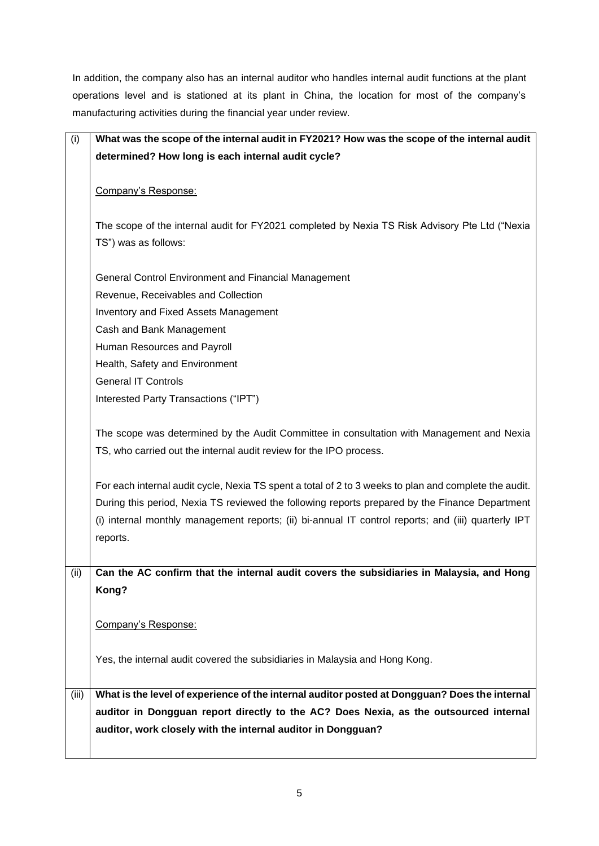In addition, the company also has an internal auditor who handles internal audit functions at the plant operations level and is stationed at its plant in China, the location for most of the company's manufacturing activities during the financial year under review.

| (i)   | What was the scope of the internal audit in FY2021? How was the scope of the internal audit           |
|-------|-------------------------------------------------------------------------------------------------------|
|       | determined? How long is each internal audit cycle?                                                    |
|       |                                                                                                       |
|       | Company's Response:                                                                                   |
|       |                                                                                                       |
|       | The scope of the internal audit for FY2021 completed by Nexia TS Risk Advisory Pte Ltd ("Nexia        |
|       | TS") was as follows:                                                                                  |
|       |                                                                                                       |
|       | General Control Environment and Financial Management                                                  |
|       | Revenue, Receivables and Collection                                                                   |
|       | <b>Inventory and Fixed Assets Management</b>                                                          |
|       | Cash and Bank Management                                                                              |
|       | Human Resources and Payroll                                                                           |
|       | Health, Safety and Environment                                                                        |
|       | <b>General IT Controls</b>                                                                            |
|       | Interested Party Transactions ("IPT")                                                                 |
|       |                                                                                                       |
|       | The scope was determined by the Audit Committee in consultation with Management and Nexia             |
|       | TS, who carried out the internal audit review for the IPO process.                                    |
|       |                                                                                                       |
|       | For each internal audit cycle, Nexia TS spent a total of 2 to 3 weeks to plan and complete the audit. |
|       | During this period, Nexia TS reviewed the following reports prepared by the Finance Department        |
|       | (i) internal monthly management reports; (ii) bi-annual IT control reports; and (iii) quarterly IPT   |
|       | reports.                                                                                              |
|       |                                                                                                       |
| (ii)  | Can the AC confirm that the internal audit covers the subsidiaries in Malaysia, and Hong              |
|       | Kong?                                                                                                 |
|       |                                                                                                       |
|       | Company's Response:                                                                                   |
|       |                                                                                                       |
|       | Yes, the internal audit covered the subsidiaries in Malaysia and Hong Kong.                           |
|       |                                                                                                       |
| (iii) | What is the level of experience of the internal auditor posted at Dongguan? Does the internal         |
|       | auditor in Dongguan report directly to the AC? Does Nexia, as the outsourced internal                 |
|       | auditor, work closely with the internal auditor in Dongguan?                                          |
|       |                                                                                                       |